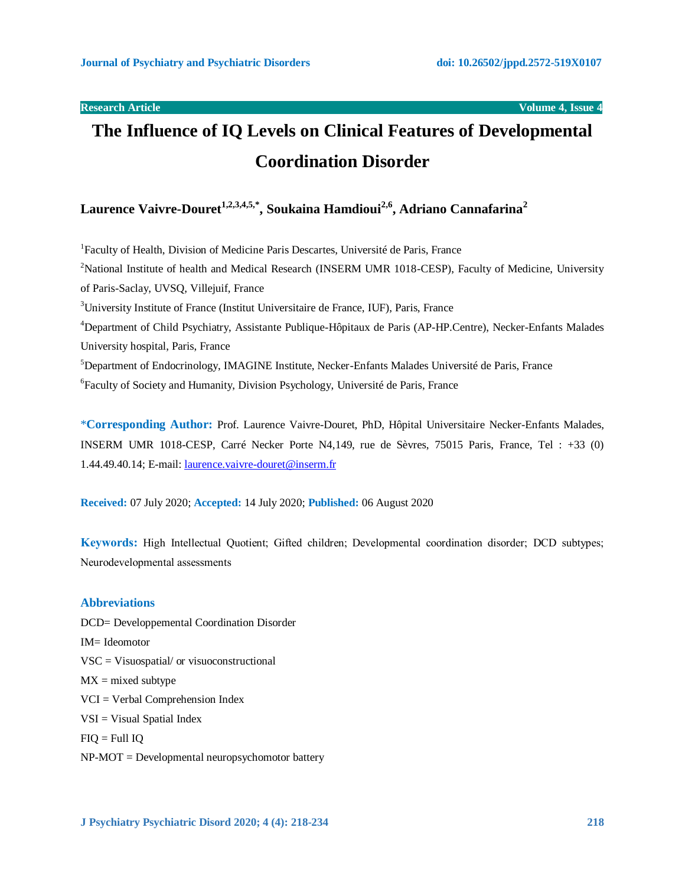# **The Influence of IQ Levels on Clinical Features of Developmental Coordination Disorder**

**Laurence Vaivre-Douret1,2,3,4,5,\* , Soukaina Hamdioui2,6, Adriano Cannafarina<sup>2</sup>**

<sup>1</sup>Faculty of Health, Division of Medicine Paris Descartes, Université de Paris, France <sup>2</sup>National Institute of health and Medical Research (INSERM UMR 1018-CESP), Faculty of Medicine, University of Paris-Saclay, UVSQ, Villejuif, France <sup>3</sup>University Institute of France (Institut Universitaire de France, IUF), Paris, France <sup>4</sup>Department of Child Psychiatry, Assistante Publique-Hôpitaux de Paris (AP-HP.Centre), Necker-Enfants Malades University hospital, Paris, France <sup>5</sup>Department of Endocrinology, IMAGINE Institute, Necker-Enfants Malades Université de Paris, France <sup>6</sup> Faculty of Society and Humanity, Division Psychology, Université de Paris, France

\***Corresponding Author:** Prof. Laurence Vaivre-Douret, PhD, Hôpital Universitaire Necker-Enfants Malades, INSERM UMR 1018-CESP, Carré Necker Porte N4,149, rue de Sèvres, 75015 Paris, France, Tel : +33 (0) 1.44.49.40.14; E-mail: [laurence.vaivre-douret@inserm.fr](mailto:laurence.vaivre-douret@inserm.fr)

**Received:** 07 July 2020; **Accepted:** 14 July 2020; **Published:** 06 August 2020

**Keywords:** High Intellectual Quotient; Gifted children; Developmental coordination disorder; DCD subtypes; Neurodevelopmental assessments

# **Abbreviations**

DCD= Developpemental Coordination Disorder IM= Ideomotor VSC = Visuospatial/ or visuoconstructional  $MX = mixed$  subtype VCI = Verbal Comprehension Index VSI = Visual Spatial Index  $FIO = Full IO$ NP-MOT = Developmental neuropsychomotor battery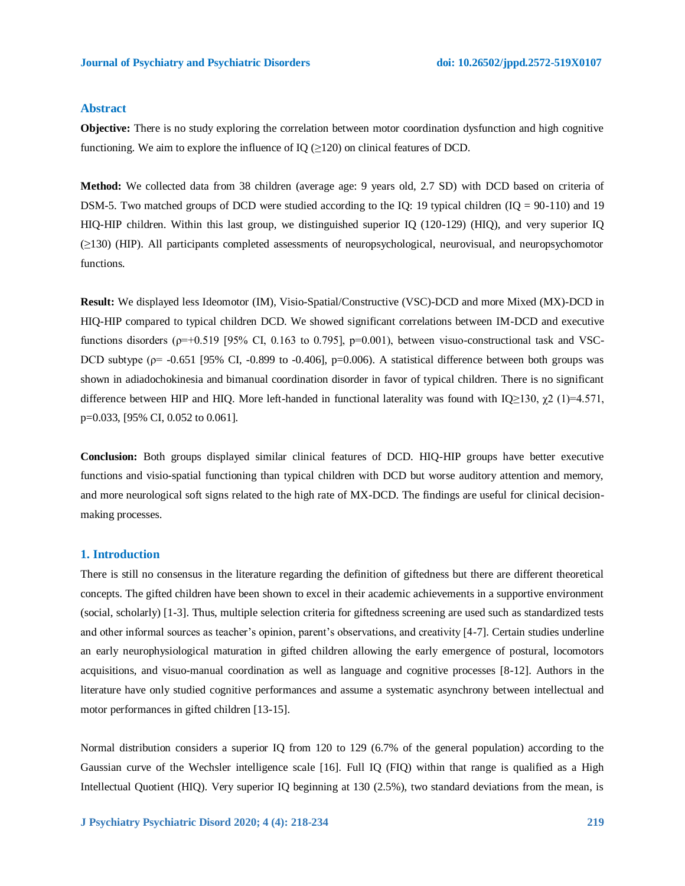#### **Abstract**

**Objective:** There is no study exploring the correlation between motor coordination dysfunction and high cognitive functioning. We aim to explore the influence of  $IQ$  ( $\geq$ 120) on clinical features of DCD.

**Method:** We collected data from 38 children (average age: 9 years old, 2.7 SD) with DCD based on criteria of DSM-5. Two matched groups of DCD were studied according to the IQ: 19 typical children (IQ = 90-110) and 19 HIQ-HIP children. Within this last group, we distinguished superior IQ (120-129) (HIQ), and very superior IQ (≥130) (HIP). All participants completed assessments of neuropsychological, neurovisual, and neuropsychomotor functions.

**Result:** We displayed less Ideomotor (IM), Visio-Spatial/Constructive (VSC)-DCD and more Mixed (MX)-DCD in HIQ-HIP compared to typical children DCD. We showed significant correlations between IM-DCD and executive functions disorders ( $\rho=+0.519$  [95% CI, 0.163 to 0.795],  $p=0.001$ ), between visuo-constructional task and VSC-DCD subtype ( $p = -0.651$  [95% CI,  $-0.899$  to  $-0.406$ ],  $p=0.006$ ). A statistical difference between both groups was shown in adiadochokinesia and bimanual coordination disorder in favor of typical children. There is no significant difference between HIP and HIO. More left-handed in functional laterality was found with IO≥130,  $\gamma$ 2 (1)=4.571, p=0.033, [95% CI, 0.052 to 0.061].

**Conclusion:** Both groups displayed similar clinical features of DCD. HIQ-HIP groups have better executive functions and visio-spatial functioning than typical children with DCD but worse auditory attention and memory, and more neurological soft signs related to the high rate of MX-DCD. The findings are useful for clinical decisionmaking processes.

# **1. Introduction**

There is still no consensus in the literature regarding the definition of giftedness but there are different theoretical concepts. The gifted children have been shown to excel in their academic achievements in a supportive environment (social, scholarly) [1-3]. Thus, multiple selection criteria for giftedness screening are used such as standardized tests and other informal sources as teacher's opinion, parent's observations, and creativity [4-7]. Certain studies underline an early neurophysiological maturation in gifted children allowing the early emergence of postural, locomotors acquisitions, and visuo-manual coordination as well as language and cognitive processes [8-12]. Authors in the literature have only studied cognitive performances and assume a systematic asynchrony between intellectual and motor performances in gifted children [13-15].

Normal distribution considers a superior IQ from 120 to 129 (6.7% of the general population) according to the Gaussian curve of the Wechsler intelligence scale [16]. Full IQ (FIQ) within that range is qualified as a High Intellectual Quotient (HIQ). Very superior IQ beginning at 130 (2.5%), two standard deviations from the mean, is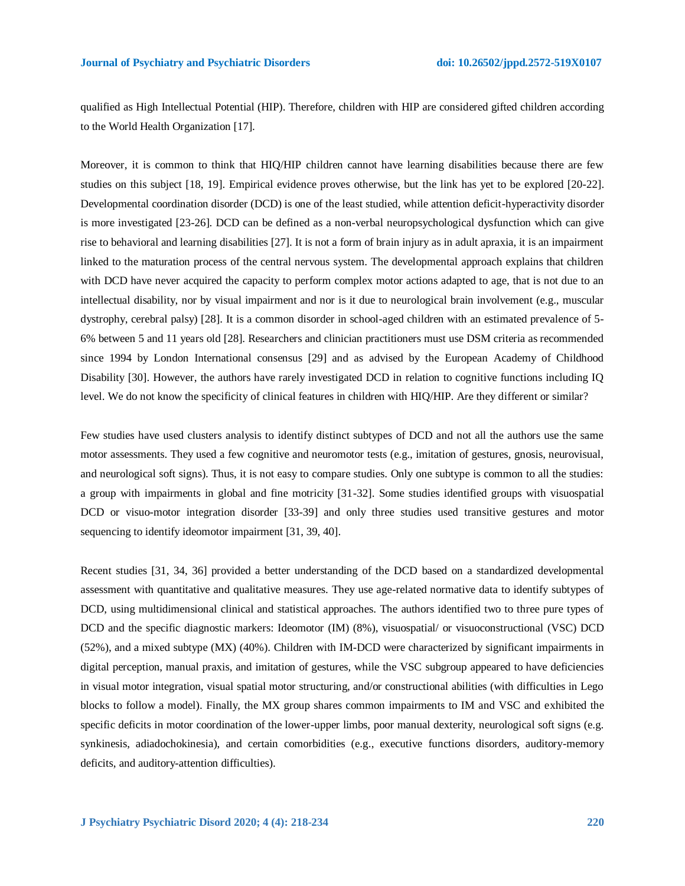qualified as High Intellectual Potential (HIP). Therefore, children with HIP are considered gifted children according to the World Health Organization [17].

Moreover, it is common to think that HIQ/HIP children cannot have learning disabilities because there are few studies on this subject [18, 19]. Empirical evidence proves otherwise, but the link has yet to be explored [20-22]. Developmental coordination disorder (DCD) is one of the least studied, while attention deficit-hyperactivity disorder is more investigated [23-26]. DCD can be defined as a non-verbal neuropsychological dysfunction which can give rise to behavioral and learning disabilities [27]. It is not a form of brain injury as in adult apraxia, it is an impairment linked to the maturation process of the central nervous system. The developmental approach explains that children with DCD have never acquired the capacity to perform complex motor actions adapted to age, that is not due to an intellectual disability, nor by visual impairment and nor is it due to neurological brain involvement (e.g., muscular dystrophy, cerebral palsy) [28]. It is a common disorder in school-aged children with an estimated prevalence of 5- 6% between 5 and 11 years old [28]. Researchers and clinician practitioners must use DSM criteria as recommended since 1994 by London International consensus [29] and as advised by the European Academy of Childhood Disability [30]. However, the authors have rarely investigated DCD in relation to cognitive functions including IQ level. We do not know the specificity of clinical features in children with HIQ/HIP. Are they different or similar?

Few studies have used clusters analysis to identify distinct subtypes of DCD and not all the authors use the same motor assessments. They used a few cognitive and neuromotor tests (e.g., imitation of gestures, gnosis, neurovisual, and neurological soft signs). Thus, it is not easy to compare studies. Only one subtype is common to all the studies: a group with impairments in global and fine motricity [31-32]. Some studies identified groups with visuospatial DCD or visuo-motor integration disorder [33-39] and only three studies used transitive gestures and motor sequencing to identify ideomotor impairment [31, 39, 40].

Recent studies [31, 34, 36] provided a better understanding of the DCD based on a standardized developmental assessment with quantitative and qualitative measures. They use age-related normative data to identify subtypes of DCD, using multidimensional clinical and statistical approaches. The authors identified two to three pure types of DCD and the specific diagnostic markers: Ideomotor (IM) (8%), visuospatial/ or visuoconstructional (VSC) DCD (52%), and a mixed subtype (MX) (40%). Children with IM-DCD were characterized by significant impairments in digital perception, manual praxis, and imitation of gestures, while the VSC subgroup appeared to have deficiencies in visual motor integration, visual spatial motor structuring, and/or constructional abilities (with difficulties in Lego blocks to follow a model). Finally, the MX group shares common impairments to IM and VSC and exhibited the specific deficits in motor coordination of the lower-upper limbs, poor manual dexterity, neurological soft signs (e.g. synkinesis, adiadochokinesia), and certain comorbidities (e.g., executive functions disorders, auditory-memory deficits, and auditory-attention difficulties).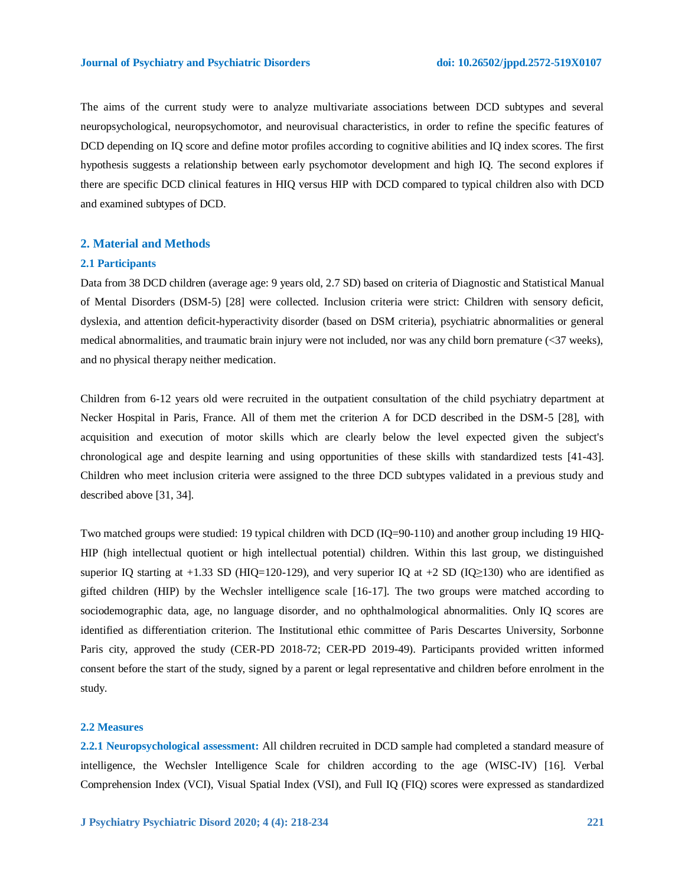The aims of the current study were to analyze multivariate associations between DCD subtypes and several neuropsychological, neuropsychomotor, and neurovisual characteristics, in order to refine the specific features of DCD depending on IQ score and define motor profiles according to cognitive abilities and IQ index scores. The first hypothesis suggests a relationship between early psychomotor development and high IQ. The second explores if there are specific DCD clinical features in HIQ versus HIP with DCD compared to typical children also with DCD and examined subtypes of DCD.

# **2. Material and Methods**

#### **2.1 Participants**

Data from 38 DCD children (average age: 9 years old, 2.7 SD) based on criteria of Diagnostic and Statistical Manual of Mental Disorders (DSM-5) [28] were collected. Inclusion criteria were strict: Children with sensory deficit, dyslexia, and attention deficit-hyperactivity disorder (based on DSM criteria), psychiatric abnormalities or general medical abnormalities, and traumatic brain injury were not included, nor was any child born premature (<37 weeks), and no physical therapy neither medication.

Children from 6-12 years old were recruited in the outpatient consultation of the child psychiatry department at Necker Hospital in Paris, France. All of them met the criterion A for DCD described in the DSM-5 [28], with acquisition and execution of motor skills which are clearly below the level expected given the subject's chronological age and despite learning and using opportunities of these skills with standardized tests [41-43]. Children who meet inclusion criteria were assigned to the three DCD subtypes validated in a previous study and described above [31, 34].

Two matched groups were studied: 19 typical children with DCD (IQ=90-110) and another group including 19 HIQ-HIP (high intellectual quotient or high intellectual potential) children. Within this last group, we distinguished superior IQ starting at +1.33 SD (HIQ=120-129), and very superior IQ at +2 SD (IQ≥130) who are identified as gifted children (HIP) by the Wechsler intelligence scale [16-17]. The two groups were matched according to sociodemographic data, age, no language disorder, and no ophthalmological abnormalities. Only IQ scores are identified as differentiation criterion. The Institutional ethic committee of Paris Descartes University, Sorbonne Paris city, approved the study (CER-PD 2018-72; CER-PD 2019-49). Participants provided written informed consent before the start of the study, signed by a parent or legal representative and children before enrolment in the study.

#### **2.2 Measures**

**2.2.1 Neuropsychological assessment:** All children recruited in DCD sample had completed a standard measure of intelligence, the Wechsler Intelligence Scale for children according to the age (WISC-IV) [16]. Verbal Comprehension Index (VCI), Visual Spatial Index (VSI), and Full IQ (FIQ) scores were expressed as standardized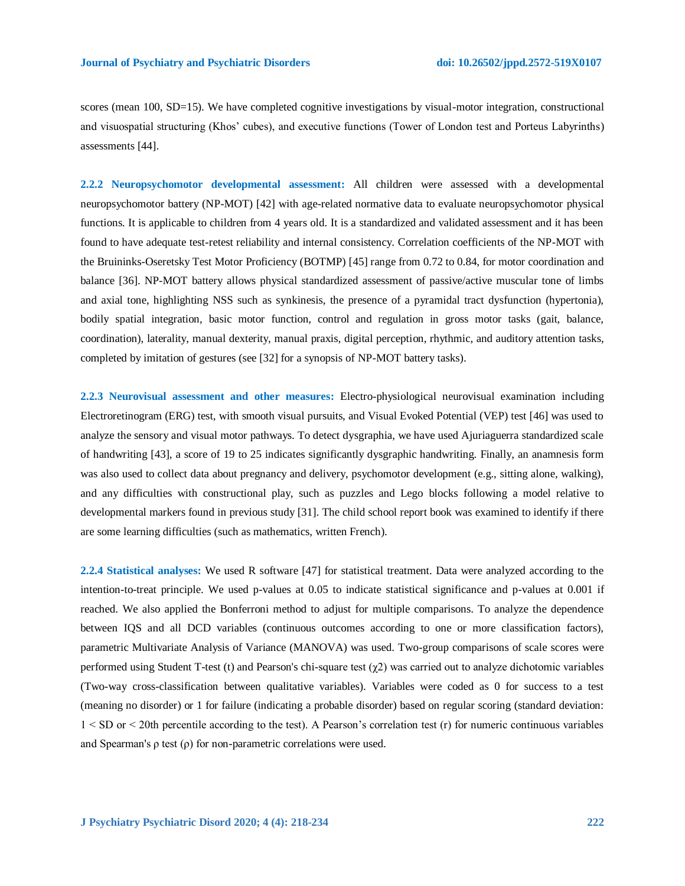scores (mean 100, SD=15). We have completed cognitive investigations by visual-motor integration, constructional and visuospatial structuring (Khos' cubes), and executive functions (Tower of London test and Porteus Labyrinths) assessments [44].

**2.2.2 Neuropsychomotor developmental assessment:** All children were assessed with a developmental neuropsychomotor battery (NP-MOT) [42] with age-related normative data to evaluate neuropsychomotor physical functions. It is applicable to children from 4 years old. It is a standardized and validated assessment and it has been found to have adequate test-retest reliability and internal consistency. Correlation coefficients of the NP-MOT with the Bruininks-Oseretsky Test Motor Proficiency (BOTMP) [45] range from 0.72 to 0.84, for motor coordination and balance [36]. NP-MOT battery allows physical standardized assessment of passive/active muscular tone of limbs and axial tone, highlighting NSS such as synkinesis, the presence of a pyramidal tract dysfunction (hypertonia), bodily spatial integration, basic motor function, control and regulation in gross motor tasks (gait, balance, coordination), laterality, manual dexterity, manual praxis, digital perception, rhythmic, and auditory attention tasks, completed by imitation of gestures (see [32] for a synopsis of NP-MOT battery tasks).

**2.2.3 Neurovisual assessment and other measures:** Electro-physiological neurovisual examination including Electroretinogram (ERG) test, with smooth visual pursuits, and Visual Evoked Potential (VEP) test [46] was used to analyze the sensory and visual motor pathways. To detect dysgraphia, we have used Ajuriaguerra standardized scale of handwriting [43], a score of 19 to 25 indicates significantly dysgraphic handwriting. Finally, an anamnesis form was also used to collect data about pregnancy and delivery, psychomotor development (e.g., sitting alone, walking), and any difficulties with constructional play, such as puzzles and Lego blocks following a model relative to developmental markers found in previous study [31]. The child school report book was examined to identify if there are some learning difficulties (such as mathematics, written French).

**2.2.4 Statistical analyses:** We used R software [47] for statistical treatment. Data were analyzed according to the intention-to-treat principle. We used p-values at 0.05 to indicate statistical significance and p-values at 0.001 if reached. We also applied the Bonferroni method to adjust for multiple comparisons. To analyze the dependence between IQS and all DCD variables (continuous outcomes according to one or more classification factors), parametric Multivariate Analysis of Variance (MANOVA) was used. Two-group comparisons of scale scores were performed using Student T-test (t) and Pearson's chi-square test  $(\gamma 2)$  was carried out to analyze dichotomic variables (Two-way cross-classification between qualitative variables). Variables were coded as 0 for success to a test (meaning no disorder) or 1 for failure (indicating a probable disorder) based on regular scoring (standard deviation: 1 < SD or < 20th percentile according to the test). A Pearson's correlation test (r) for numeric continuous variables and Spearman's  $\rho$  test  $(\rho)$  for non-parametric correlations were used.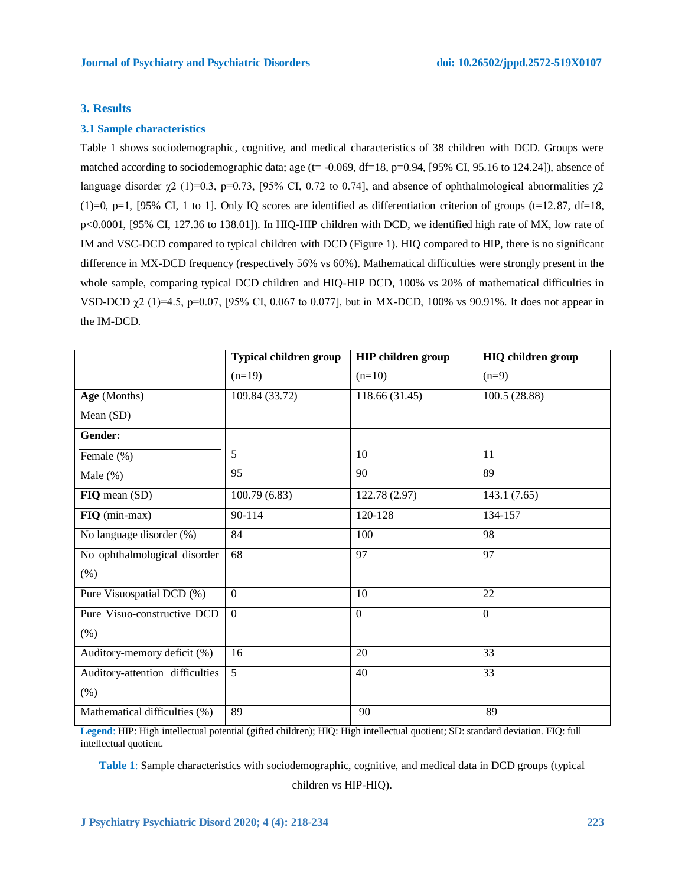#### **3. Results**

# **3.1 Sample characteristics**

Table 1 shows sociodemographic, cognitive, and medical characteristics of 38 children with DCD. Groups were matched according to sociodemographic data; age ( $t = -0.069$ , df=18, p=0.94, [95% CI, 95.16 to 124.24]), absence of language disorder  $\gamma$ 2 (1)=0.3, p=0.73, [95% CI, 0.72 to 0.74], and absence of ophthalmological abnormalities  $\gamma$ 2  $(1)=0$ , p=1, [95% CI, 1 to 1]. Only IQ scores are identified as differentiation criterion of groups (t=12.87, df=18, p<0.0001, [95% CI, 127.36 to 138.01]). In HIQ-HIP children with DCD, we identified high rate of MX, low rate of IM and VSC-DCD compared to typical children with DCD (Figure 1). HIQ compared to HIP, there is no significant difference in MX-DCD frequency (respectively 56% vs 60%). Mathematical difficulties were strongly present in the whole sample, comparing typical DCD children and HIQ-HIP DCD, 100% vs 20% of mathematical difficulties in VSD-DCD χ2 (1)=4.5, p=0.07, [95% CI, 0.067 to 0.077], but in MX-DCD, 100% vs 90.91%. It does not appear in the IM-DCD.

|                                 | <b>Typical children group</b> | <b>HIP</b> children group | <b>HIQ</b> children group |
|---------------------------------|-------------------------------|---------------------------|---------------------------|
|                                 | $(n=19)$                      | $(n=10)$                  | $(n=9)$                   |
| Age (Months)                    | 109.84 (33.72)                | 118.66 (31.45)            | 100.5(28.88)              |
| Mean (SD)                       |                               |                           |                           |
| Gender:                         |                               |                           |                           |
| Female (%)                      | 5                             | 10                        | 11                        |
| Male $(\%)$                     | 95                            | 90                        | 89                        |
| FIQ mean (SD)                   | 100.79(6.83)                  | 122.78 (2.97)             | 143.1 (7.65)              |
| FIQ (min-max)                   | 90-114                        | 120-128                   | 134-157                   |
| No language disorder (%)        | 84                            | 100                       | 98                        |
| No ophthalmological disorder    | 68                            | 97                        | 97                        |
| (% )                            |                               |                           |                           |
| Pure Visuospatial DCD (%)       | $\overline{0}$                | 10                        | 22                        |
| Pure Visuo-constructive DCD     | $\overline{0}$                | $\mathbf{0}$              | $\mathbf{0}$              |
| (% )                            |                               |                           |                           |
| Auditory-memory deficit (%)     | 16                            | 20                        | 33                        |
| Auditory-attention difficulties | 5                             | 40                        | 33                        |
| (% )                            |                               |                           |                           |
| Mathematical difficulties (%)   | 89                            | 90                        | 89                        |

**Legend**: HIP: High intellectual potential (gifted children); HIQ: High intellectual quotient; SD: standard deviation. FIQ: full intellectual quotient.

**Table 1**: Sample characteristics with sociodemographic, cognitive, and medical data in DCD groups (typical children vs HIP-HIQ).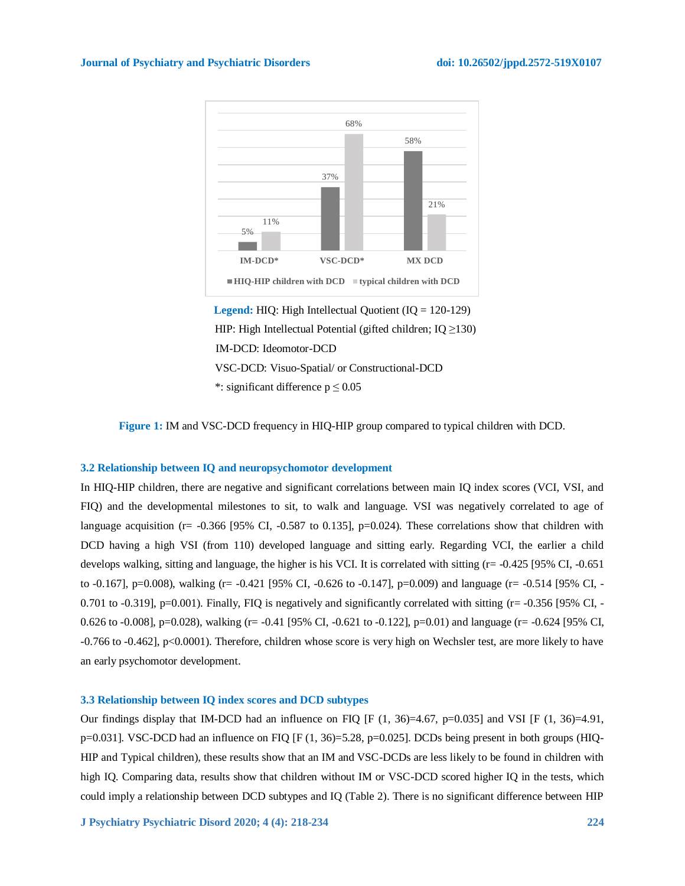

**Legend:** HIQ: High Intellectual Quotient (IQ = 120-129) HIP: High Intellectual Potential (gifted children;  $IQ \geq 130$ ) IM-DCD: Ideomotor-DCD VSC-DCD: Visuo-Spatial/ or Constructional-DCD \*: significant difference  $p \le 0.05$ 



# **3.2 Relationship between IQ and neuropsychomotor development**

In HIQ-HIP children, there are negative and significant correlations between main IQ index scores (VCI, VSI, and FIQ) and the developmental milestones to sit, to walk and language. VSI was negatively correlated to age of language acquisition ( $r=$  -0.366 [95% CI, -0.587 to 0.135],  $p=0.024$ ). These correlations show that children with DCD having a high VSI (from 110) developed language and sitting early. Regarding VCI, the earlier a child develops walking, sitting and language, the higher is his VCI. It is correlated with sitting (r= -0.425 [95% CI, -0.651 to -0.167], p=0.008), walking (r= -0.421 [95% CI, -0.626 to -0.147], p=0.009) and language (r= -0.514 [95% CI, - 0.701 to -0.319], p=0.001). Finally, FIQ is negatively and significantly correlated with sitting  $(r= -0.356$  [95% CI, -0.626 to -0.008], p=0.028), walking (r= -0.41 [95% CI, -0.621 to -0.122], p=0.01) and language (r= -0.624 [95% CI, -0.766 to -0.462], p<0.0001). Therefore, children whose score is very high on Wechsler test, are more likely to have an early psychomotor development.

# **3.3 Relationship between IQ index scores and DCD subtypes**

Our findings display that IM-DCD had an influence on FIQ [F  $(1, 36)=4.67$ , p=0.035] and VSI [F  $(1, 36)=4.91$ , p=0.031]. VSC-DCD had an influence on FIQ [F (1, 36)=5.28, p=0.025]. DCDs being present in both groups (HIQ-HIP and Typical children), these results show that an IM and VSC-DCDs are less likely to be found in children with high IQ. Comparing data, results show that children without IM or VSC-DCD scored higher IQ in the tests, which could imply a relationship between DCD subtypes and IQ (Table 2). There is no significant difference between HIP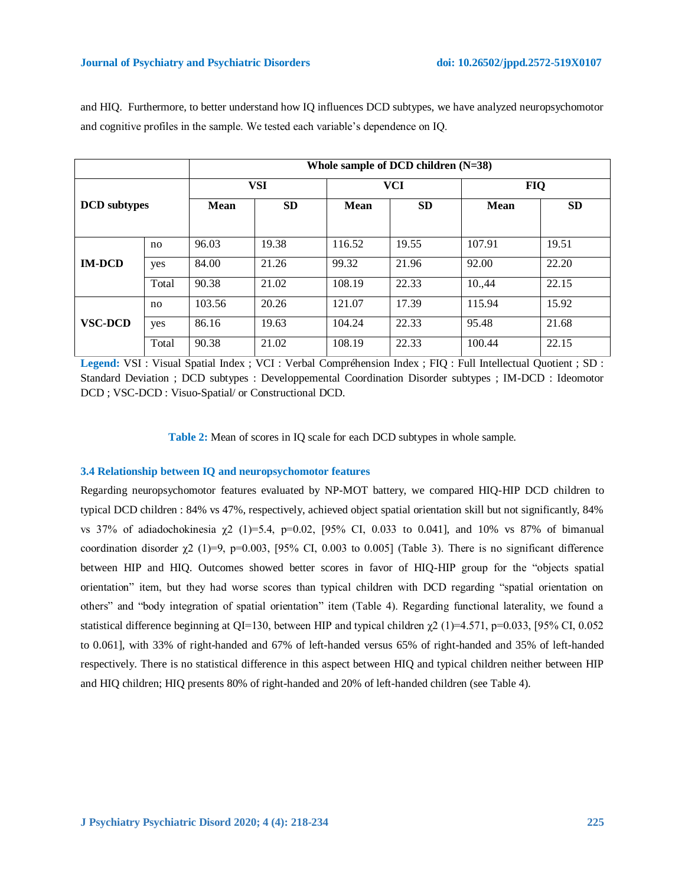|                     |       |                          | Whole sample of DCD children (N=38) |             |            |             |            |  |  |  |  |  |  |  |
|---------------------|-------|--------------------------|-------------------------------------|-------------|------------|-------------|------------|--|--|--|--|--|--|--|
|                     |       |                          | <b>VSI</b>                          |             | <b>VCI</b> |             | <b>FIQ</b> |  |  |  |  |  |  |  |
| <b>DCD</b> subtypes |       | <b>SD</b><br><b>Mean</b> |                                     | <b>Mean</b> | <b>SD</b>  | <b>Mean</b> | <b>SD</b>  |  |  |  |  |  |  |  |
|                     |       |                          |                                     |             |            |             |            |  |  |  |  |  |  |  |
|                     | no    | 96.03                    | 19.38                               | 116.52      | 19.55      | 107.91      | 19.51      |  |  |  |  |  |  |  |
| <b>IM-DCD</b>       | yes   | 84.00                    | 21.26                               | 99.32       | 21.96      | 92.00       | 22.20      |  |  |  |  |  |  |  |
|                     | Total | 90.38                    | 21.02                               | 108.19      | 22.33      | 10.,44      | 22.15      |  |  |  |  |  |  |  |
|                     | no    | 103.56                   | 20.26                               | 121.07      | 17.39      | 115.94      | 15.92      |  |  |  |  |  |  |  |
| <b>VSC-DCD</b>      | yes   | 86.16                    | 19.63                               | 104.24      | 22.33      | 95.48       | 21.68      |  |  |  |  |  |  |  |
|                     | Total | 90.38                    | 21.02                               | 108.19      | 22.33      | 100.44      | 22.15      |  |  |  |  |  |  |  |

and HIQ. Furthermore, to better understand how IQ influences DCD subtypes, we have analyzed neuropsychomotor and cognitive profiles in the sample. We tested each variable's dependence on IQ.

**Legend:** VSI : Visual Spatial Index ; VCI : Verbal Compréhension Index ; FIQ : Full Intellectual Quotient ; SD : Standard Deviation ; DCD subtypes : Developpemental Coordination Disorder subtypes ; IM-DCD : Ideomotor DCD ; VSC-DCD : Visuo-Spatial/ or Constructional DCD.

**Table 2:** Mean of scores in IQ scale for each DCD subtypes in whole sample.

# **3.4 Relationship between IQ and neuropsychomotor features**

Regarding neuropsychomotor features evaluated by NP-MOT battery, we compared HIQ-HIP DCD children to typical DCD children : 84% vs 47%, respectively, achieved object spatial orientation skill but not significantly, 84% vs 37% of adiadochokinesia  $χ$ 2 (1)=5.4, p=0.02, [95% CI, 0.033 to 0.041], and 10% vs 87% of bimanual coordination disorder  $\chi^2$  (1)=9, p=0.003, [95% CI, 0.003 to 0.005] (Table 3). There is no significant difference between HIP and HIQ. Outcomes showed better scores in favor of HIQ-HIP group for the "objects spatial orientation" item, but they had worse scores than typical children with DCD regarding "spatial orientation on others" and "body integration of spatial orientation" item (Table 4). Regarding functional laterality, we found a statistical difference beginning at QI=130, between HIP and typical children  $\chi^2$  (1)=4.571, p=0.033, [95% CI, 0.052 to 0.061], with 33% of right-handed and 67% of left-handed versus 65% of right-handed and 35% of left-handed respectively. There is no statistical difference in this aspect between HIQ and typical children neither between HIP and HIQ children; HIQ presents 80% of right-handed and 20% of left-handed children (see Table 4).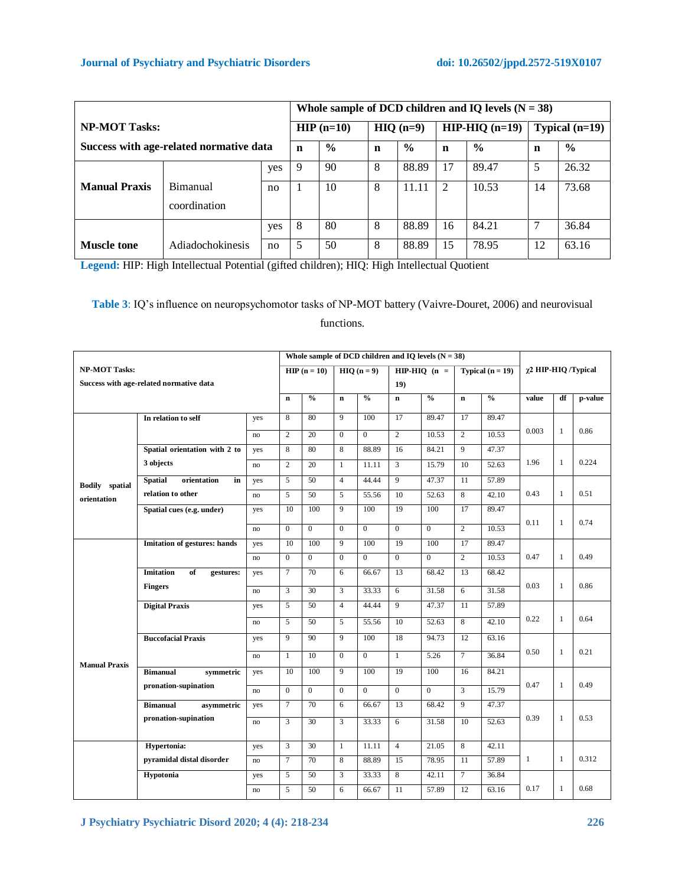|                      |                                         |     | Whole sample of DCD children and IQ levels $(N = 38)$ |               |   |               |    |                  |                  |               |
|----------------------|-----------------------------------------|-----|-------------------------------------------------------|---------------|---|---------------|----|------------------|------------------|---------------|
| <b>NP-MOT Tasks:</b> |                                         |     | $HIP(n=10)$                                           |               |   | $HIO(n=9)$    |    | $HIP-HIO$ (n=19) | Typical $(n=19)$ |               |
|                      | Success with age-related normative data |     | $\mathbf n$                                           | $\frac{0}{0}$ | n | $\frac{6}{6}$ |    | $\frac{6}{6}$    | n                | $\frac{0}{0}$ |
|                      |                                         | yes | 9                                                     | 90            | 8 | 88.89         | 17 | 89.47            | 5                | 26.32         |
| <b>Manual Praxis</b> | Bimanual                                | no  |                                                       | 10            | 8 | 11.11         | 2  | 10.53            | 14               | 73.68         |
|                      | coordination                            |     |                                                       |               |   |               |    |                  |                  |               |
|                      |                                         | yes | 8                                                     | 80            | 8 | 88.89         | 16 | 84.21            |                  | 36.84         |
| <b>Muscle tone</b>   | Adiadochokinesis                        | no  | 5                                                     | 50            | 8 | 88.89         | 15 | 78.95            | 12               | 63.16         |

**Legend:** HIP: High Intellectual Potential (gifted children); HIQ: High Intellectual Quotient

**Table 3**: IQ's influence on neuropsychomotor tasks of NP-MOT battery (Vaivre-Douret, 2006) and neurovisual

# functions.

|                                         |                                                       |     |              |                |                |                  |                | Whole sample of DCD children and IQ levels $(N = 38)$ |                    |                                    |                     |              |         |
|-----------------------------------------|-------------------------------------------------------|-----|--------------|----------------|----------------|------------------|----------------|-------------------------------------------------------|--------------------|------------------------------------|---------------------|--------------|---------|
| <b>NP-MOT Tasks:</b>                    |                                                       |     | $HIP(n=10)$  |                | $HIO(n=9)$     |                  | $HP-HIO$ (n =  |                                                       | Typical $(n = 19)$ |                                    | χ2 HIP-HIQ /Typical |              |         |
| Success with age-related normative data |                                                       |     |              |                |                | 19)              |                |                                                       |                    |                                    |                     |              |         |
|                                         |                                                       |     | $\mathbf n$  | $\frac{0}{0}$  | $\mathbf n$    | $\frac{0}{0}$    | $\mathbf n$    | $\frac{0}{0}$                                         | $\mathbf n$        | $\mathbf{0}_{\mathbf{0}}^{\prime}$ | value               | df           | p-value |
|                                         | In relation to self                                   | yes | 8            | 80             | 9              | 100              | 17             | 89.47                                                 | 17                 | 89.47                              |                     |              |         |
|                                         |                                                       | no  | 2            | 20             | $\mathbf{0}$   | $\mathbf{0}$     | $\mathbf{2}$   | 10.53                                                 | $\overline{c}$     | 10.53                              | 0.003               | $\mathbf{1}$ | 0.86    |
|                                         | Spatial orientation with 2 to                         | yes | 8            | 80             | 8              | 88.89            | 16             | 84.21                                                 | 9                  | 47.37                              |                     |              |         |
|                                         | 3 objects                                             | no  | 2            | 20             | $\mathbf{1}$   | 11.11            | 3              | 15.79                                                 | 10                 | 52.63                              | 1.96                | $\mathbf{1}$ | 0.224   |
| <b>Bodily</b> spatial                   | <b>Spatial</b><br>orientation<br>in                   | yes | 5            | 50             | $\overline{4}$ | 44.44            | 9              | 47.37                                                 | 11                 | 57.89                              |                     |              |         |
| orientation                             | relation to other                                     | no  | 5            | 50             | 5              | 55.56            | 10             | 52.63                                                 | 8                  | 42.10                              | 0.43                | $\mathbf{1}$ | 0.51    |
|                                         | Spatial cues (e.g. under)                             | yes | 10           | 100            | 9              | 100              | 19             | 100                                                   | 17                 | 89.47                              |                     | $\mathbf{1}$ | 0.74    |
|                                         |                                                       | no  | $\Omega$     | $\overline{0}$ | $\Omega$       | $\overline{0}$   | $\overline{0}$ | $\overline{0}$                                        | $\overline{2}$     | 10.53                              | 0.11                |              |         |
|                                         | <b>Imitation of gestures: hands</b>                   | yes | 10           | 100            | 9              | 100              | 19             | 100                                                   | 17                 | 89.47                              |                     |              |         |
|                                         |                                                       | no  | $\mathbf{0}$ | $\overline{0}$ | $\mathbf{0}$   | $\mathbf{0}$     | $\mathbf{0}$   | $\overline{0}$                                        | $\overline{c}$     | 10.53                              | 0.47                | $\mathbf{1}$ | 0.49    |
|                                         | <b>Imitation</b><br>of<br>gestures:<br><b>Fingers</b> | yes | $\tau$       | 70             | 6              | 66.67            | 13             | 68.42                                                 | 13                 | 68.42                              |                     | $\mathbf{1}$ | 0.86    |
|                                         |                                                       | no  | 3            | 30             | 3              | 33.33            | 6              | 31.58                                                 | 6                  | 31.58                              | 0.03                |              |         |
|                                         | <b>Digital Praxis</b>                                 | yes | 5            | 50             | $\overline{4}$ | 44.44            | $\overline{9}$ | 47.37                                                 | 11                 | 57.89                              |                     |              |         |
|                                         |                                                       | no  | 5            | 50             | 5              | 55.56            | 10             | 52.63                                                 | 8                  | 42.10                              | 0.22                | $\mathbf{1}$ | 0.64    |
|                                         | <b>Buccofacial Praxis</b>                             | yes | 9            | 90             | 9              | 100              | 18             | 94.73                                                 | 12                 | 63.16                              |                     |              |         |
|                                         |                                                       | no  | $\mathbf{1}$ | 10             | $\mathbf{0}$   | $\boldsymbol{0}$ | $\mathbf{1}$   | 5.26                                                  | $\tau$             | 36.84                              | 0.50                | $\mathbf{1}$ | 0.21    |
| <b>Manual Praxis</b>                    | <b>Bimanual</b><br>symmetric                          | yes | 10           | 100            | 9              | 100              | 19             | 100                                                   | 16                 | 84.21                              |                     |              |         |
|                                         | pronation-supination                                  | no  | $\Omega$     | $\theta$       | $\overline{0}$ | $\Omega$         | $\Omega$       | $\Omega$                                              | 3                  | 15.79                              | 0.47                | $\mathbf{1}$ | 0.49    |
|                                         | <b>Bimanual</b><br>asymmetric                         | yes | $\tau$       | 70             | 6              | 66.67            | 13             | 68.42                                                 | 9                  | 47.37                              |                     |              |         |
|                                         | pronation-supination                                  | no  | 3            | 30             | 3              | 33.33            | 6              | 31.58                                                 | 10                 | 52.63                              | 0.39                | 1            | 0.53    |
|                                         |                                                       |     |              |                |                |                  |                |                                                       |                    |                                    |                     |              |         |
|                                         | Hypertonia:                                           | yes | 3            | 30             | $\mathbf{1}$   | 11.11            | $\overline{4}$ | 21.05                                                 | 8                  | 42.11                              |                     |              |         |
|                                         | pyramidal distal disorder                             | no  | $\tau$       | 70             | 8              | 88.89            | 15             | 78.95                                                 | 11                 | 57.89                              | $\mathbf{1}$        | $\mathbf{1}$ | 0.312   |
|                                         | Hypotonia                                             | yes | 5            | 50             | 3              | 33.33            | 8              | 42.11                                                 | $\tau$             | 36.84                              |                     |              |         |
|                                         |                                                       | no  | 5            | 50             | 6              | 66.67            | 11             | 57.89                                                 | 12                 | 63.16                              | 0.17                | 1            | 0.68    |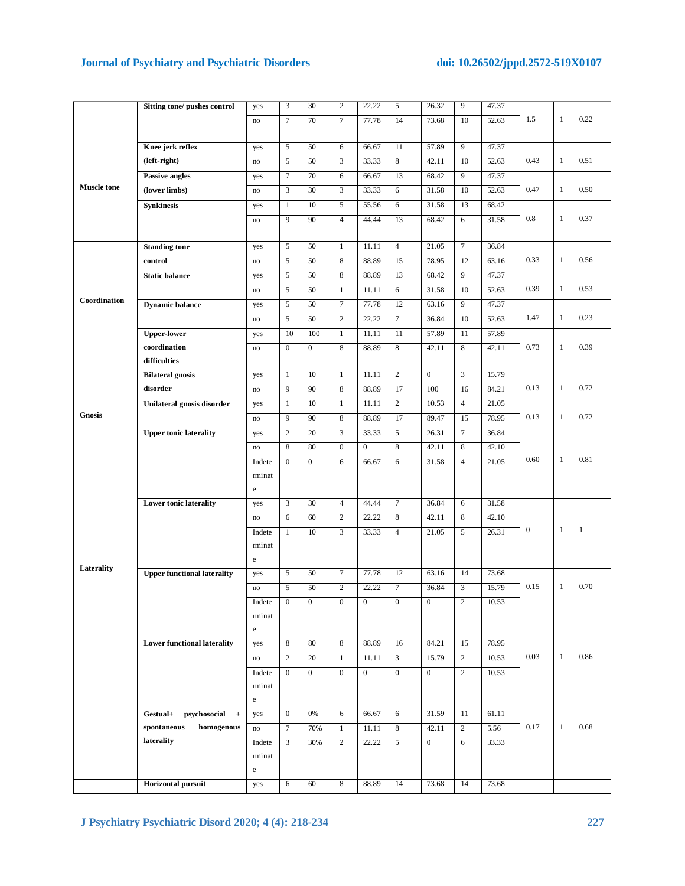# **Journal of Psychiatry and Psychiatric Disorders doi: 10.26502/jppd.2572-519X0107**

|                    | Sitting tone/ pushes control       | yes           | 3                | 30               | $\mathbf{2}$     | 22.22            | 5                | 26.32            | 9                | 47.37 |                  |              |              |
|--------------------|------------------------------------|---------------|------------------|------------------|------------------|------------------|------------------|------------------|------------------|-------|------------------|--------------|--------------|
|                    |                                    | no            | 7                | 70               | 7                | 77.78            | 14               | 73.68            | 10               | 52.63 | 1.5              | $\mathbf{1}$ | 0.22         |
|                    |                                    |               |                  |                  |                  |                  |                  |                  |                  |       |                  |              |              |
|                    | Knee jerk reflex                   | yes           | 5                | 50               | 6                | 66.67            | 11               | 57.89            | 9                | 47.37 |                  |              |              |
|                    | (left-right)                       | no            | 5                | 50               | 3                | 33.33            | 8                | 42.11            | 10               | 52.63 | 0.43             | -1           | 0.51         |
|                    | Passive angles                     | yes           | $\tau$           | 70               | 6                | 66.67            | 13               | 68.42            | 9                | 47.37 |                  |              |              |
| <b>Muscle</b> tone | (lower limbs)                      | no            | 3                | 30               | $\mathfrak z$    | 33.33            | 6                | 31.58            | 10               | 52.63 | 0.47             | 1            | 0.50         |
|                    | <b>Synkinesis</b>                  | yes           | $\mathbf{1}$     | 10               | 5                | 55.56            | 6                | 31.58            | 13               | 68.42 |                  |              |              |
|                    |                                    | no            | 9                | 90               | $\overline{4}$   | 44.44            | 13               | 68.42            | 6                | 31.58 | 0.8              | 1            | 0.37         |
|                    |                                    |               |                  |                  |                  |                  |                  |                  |                  |       |                  |              |              |
|                    | <b>Standing tone</b>               | yes           | 5                | 50               | $\mathbf{1}$     | 11.11            | $\overline{4}$   | 21.05            | $\boldsymbol{7}$ | 36.84 |                  |              |              |
|                    | control                            | no            | 5                | 50               | 8                | 88.89            | 15               | 78.95            | 12               | 63.16 | 0.33             | $\mathbf{1}$ | 0.56         |
|                    | <b>Static balance</b>              | yes           | 5                | 50               | 8                | 88.89            | 13               | 68.42            | 9                | 47.37 |                  |              |              |
|                    |                                    | $\mathbf{no}$ | 5                | 50               | $\mathbf{1}$     | 11.11            | 6                | 31.58            | 10               | 52.63 | 0.39             | $\mathbf{1}$ | 0.53         |
| Coordination       | <b>Dynamic balance</b>             | yes           | 5                | 50               | $\tau$           | 77.78            | 12               | 63.16            | 9                | 47.37 |                  |              |              |
|                    |                                    | no            | 5                | 50               | 2                | 22.22            | $\tau$           | 36.84            | 10               | 52.63 | 1.47             | $\mathbf{1}$ | 0.23         |
|                    | <b>Upper-lower</b>                 | yes           | 10               | 100              | $\mathbf{1}$     | 11.11            | 11               | 57.89            | 11               | 57.89 |                  |              |              |
|                    | coordination                       | no            | $\overline{0}$   | $\mathbf{0}$     | 8                | 88.89            | 8                | 42.11            | 8                | 42.11 | 0.73             | 1            | 0.39         |
|                    | difficulties                       |               |                  |                  |                  |                  |                  |                  |                  |       |                  |              |              |
|                    | <b>Bilateral gnosis</b>            | yes           | 1                | 10               | 1                | 11.11            | 2                | $\boldsymbol{0}$ | 3                | 15.79 |                  |              |              |
|                    | disorder                           | no            | 9                | 90               | 8                | 88.89            | 17               | 100              | 16               | 84.21 | 0.13             | $\mathbf{1}$ | 0.72         |
|                    | Unilateral gnosis disorder         | yes           | $\mathbf{1}$     | 10               | $\mathbf{1}$     | 11.11            | $\overline{2}$   | 10.53            | $\overline{4}$   | 21.05 |                  |              |              |
| <b>Gnosis</b>      |                                    | no            | 9                | 90               | 8                | 88.89            | 17               | 89.47            | 15               | 78.95 | 0.13             | $\mathbf{1}$ | 0.72         |
|                    | <b>Upper tonic laterality</b>      | yes           | $\overline{c}$   | 20               | 3                | 33.33            | 5                | 26.31            | $\tau$           | 36.84 |                  |              |              |
|                    |                                    | no            | 8                | 80               | $\boldsymbol{0}$ | $\boldsymbol{0}$ | 8                | 42.11            | 8                | 42.10 |                  |              |              |
|                    |                                    | Indete        | $\mathbf{0}$     | $\mathbf{0}$     | 6                | 66.67            | 6                | 31.58            | $\overline{4}$   | 21.05 | 0.60             | $\mathbf{1}$ | 0.81         |
|                    |                                    | rminat        |                  |                  |                  |                  |                  |                  |                  |       |                  |              |              |
|                    |                                    | $\rm e$       |                  |                  |                  |                  |                  |                  |                  |       |                  |              |              |
|                    | <b>Lower tonic laterality</b>      | yes           | 3                | 30               | $\overline{4}$   | 44.44            | $\tau$           | 36.84            | 6                | 31.58 |                  |              |              |
|                    |                                    | no            | 6                | 60               | $\sqrt{2}$       | 22.22            | 8                | 42.11            | 8                | 42.10 |                  |              |              |
|                    |                                    | Indete        | $\mathbf{1}$     | 10               | 3                | 33.33            | $\overline{4}$   | 21.05            | 5                | 26.31 | $\boldsymbol{0}$ | $\mathbf{1}$ | $\mathbf{1}$ |
|                    |                                    | rminat        |                  |                  |                  |                  |                  |                  |                  |       |                  |              |              |
|                    |                                    | $\mathbf e$   |                  |                  |                  |                  |                  |                  |                  |       |                  |              |              |
| Laterality         | <b>Upper functional laterality</b> | yes           | 5                | 50               | $\boldsymbol{7}$ | 77.78            | 12               | 63.16            | 14               | 73.68 |                  |              |              |
|                    |                                    | no            | 5                | 50               | $\overline{c}$   | 22.22            | $\tau$           | 36.84            | 3                | 15.79 | 0.15             | 1            | 0.70         |
|                    |                                    | Indete        | $\boldsymbol{0}$ | $\boldsymbol{0}$ | $\boldsymbol{0}$ |                  | $\boldsymbol{0}$ | 0                | $\boldsymbol{2}$ | 10.53 |                  |              |              |
|                    |                                    | rminat        |                  |                  |                  |                  |                  |                  |                  |       |                  |              |              |
|                    |                                    | $\rm e$       |                  |                  |                  |                  |                  |                  |                  |       |                  |              |              |
|                    | <b>Lower functional laterality</b> | yes           | 8                | 80               | 8                | 88.89            | 16               | 84.21            | 15               | 78.95 |                  |              |              |
|                    |                                    | $\mathbf{no}$ | 2                | 20               | 1                | 11.11            | 3                | 15.79            | $\overline{c}$   | 10.53 | 0.03             | $\mathbf{1}$ | 0.86         |
|                    |                                    | Indete        | $\overline{0}$   | $\overline{0}$   | $\boldsymbol{0}$ | $\overline{0}$   | $\overline{0}$   | $\boldsymbol{0}$ | $\overline{c}$   | 10.53 |                  |              |              |
|                    |                                    | rminat        |                  |                  |                  |                  |                  |                  |                  |       |                  |              |              |
|                    |                                    | $\rm e$       |                  |                  |                  |                  |                  |                  |                  |       |                  |              |              |
|                    | Gestual+<br>psychosocial<br>$+$    | yes           | $\overline{0}$   | 0%               | 6                | 66.67            | 6                | 31.59            | 11               | 61.11 |                  |              |              |
|                    | homogenous<br>spontaneous          | $\mathbf{no}$ | 7                | 70%              | 1                | 11.11            | 8                | 42.11            | $\overline{c}$   | 5.56  | 0.17             | 1            | 0.68         |
|                    | laterality                         | Indete        | 3                | 30%              | $\sqrt{2}$       | 22.22            | 5                | $\boldsymbol{0}$ | 6                | 33.33 |                  |              |              |
|                    |                                    | rminat        |                  |                  |                  |                  |                  |                  |                  |       |                  |              |              |
|                    |                                    | $\rm e$       |                  |                  |                  |                  |                  |                  |                  |       |                  |              |              |
|                    | Horizontal pursuit                 | yes           | 6                | 60               | 8                | 88.89            | 14               | 73.68            | 14               | 73.68 |                  |              |              |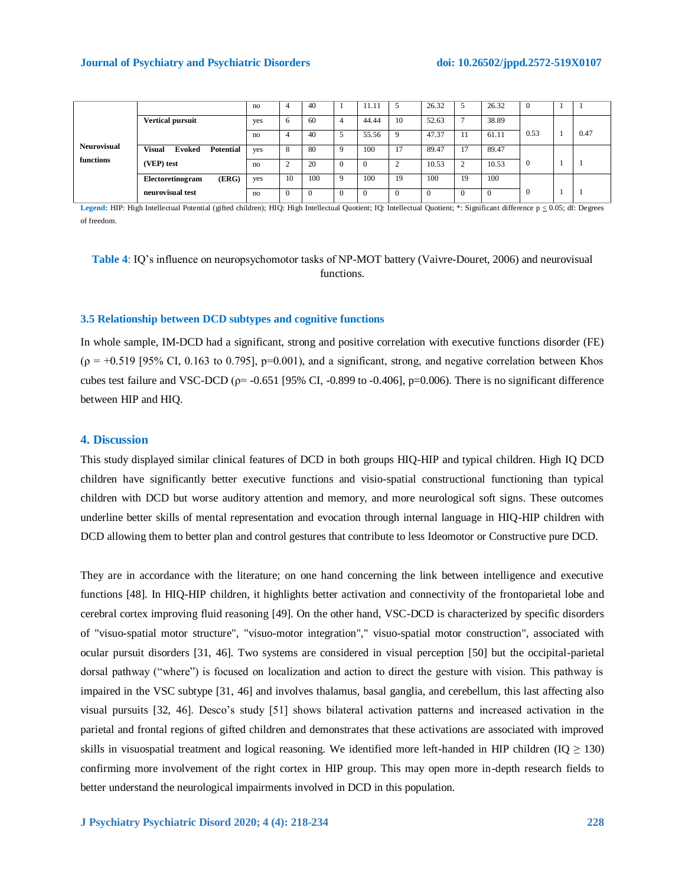#### **Journal of Psychiatry and Psychiatric Disorders doi: 10.26502/jppd.2572-519X0107**

| <b>Neurovisual</b><br>functions |                                                    | no  | 4  | 40  |              | 11.11 |        | 26.32    | 5              | 26.32    | $\theta$ |      |
|---------------------------------|----------------------------------------------------|-----|----|-----|--------------|-------|--------|----------|----------------|----------|----------|------|
|                                 | <b>Vertical pursuit</b>                            | yes | 6  | 60  | 4            | 44.44 | 10     | 52.63    | $\overline{a}$ | 38.89    |          |      |
|                                 |                                                    | no  | 4  | 40  |              | 55.56 | Q      | 47.37    | 11             | 61.11    | 0.53     | 0.47 |
|                                 | <b>Visual</b><br><b>Potential</b><br><b>Evoked</b> | yes | 8  | 80  | q            | 100   | 17     | 89.47    | 17             | 89.47    |          |      |
|                                 | (VEP) test                                         | no  | ◠  | 20  | <sup>-</sup> |       | $\sim$ | 10.53    | $\overline{2}$ | 10.53    | $\Omega$ |      |
|                                 | (ERG)<br>Electoretinogram                          | yes | 10 | 100 | q            | 100   | 19     | 100      | 19             | 100      |          |      |
|                                 | neurovisual test                                   | no  |    |     | - 6          |       |        | $\Omega$ | $\mathbf{0}$   | $\theta$ | 0        |      |

Legend: HIP: High Intellectual Potential (gifted children); HIQ: High Intellectual Quotient; IQ: Intellectual Quotient; \*: Significant difference p < 0.05; df: Degrees of freedom.

**Table 4**: IQ's influence on neuropsychomotor tasks of NP-MOT battery (Vaivre-Douret, 2006) and neurovisual functions.

# **3.5 Relationship between DCD subtypes and cognitive functions**

In whole sample, IM-DCD had a significant, strong and positive correlation with executive functions disorder (FE)  $(p = +0.519]$  [95% CI, 0.163 to 0.795], p=0.001), and a significant, strong, and negative correlation between Khos cubes test failure and VSC-DCD ( $p=$  -0.651 [95% CI, -0.899 to -0.406], p=0.006). There is no significant difference between HIP and HIQ.

#### **4. Discussion**

This study displayed similar clinical features of DCD in both groups HIQ-HIP and typical children. High IQ DCD children have significantly better executive functions and visio-spatial constructional functioning than typical children with DCD but worse auditory attention and memory, and more neurological soft signs. These outcomes underline better skills of mental representation and evocation through internal language in HIQ-HIP children with DCD allowing them to better plan and control gestures that contribute to less Ideomotor or Constructive pure DCD.

They are in accordance with the literature; on one hand concerning the link between intelligence and executive functions [48]. In HIQ-HIP children, it highlights better activation and connectivity of the frontoparietal lobe and cerebral cortex improving fluid reasoning [49]. On the other hand, VSC-DCD is characterized by specific disorders of "visuo-spatial motor structure", "visuo-motor integration"," visuo-spatial motor construction", associated with ocular pursuit disorders [31, 46]. Two systems are considered in visual perception [50] but the occipital-parietal dorsal pathway ("where") is focused on localization and action to direct the gesture with vision. This pathway is impaired in the VSC subtype [31, 46] and involves thalamus, basal ganglia, and cerebellum, this last affecting also visual pursuits [32, 46]. Desco's study [51] shows bilateral activation patterns and increased activation in the parietal and frontal regions of gifted children and demonstrates that these activations are associated with improved skills in visuospatial treatment and logical reasoning. We identified more left-handed in HIP children (IQ  $\geq$  130) confirming more involvement of the right cortex in HIP group. This may open more in-depth research fields to better understand the neurological impairments involved in DCD in this population.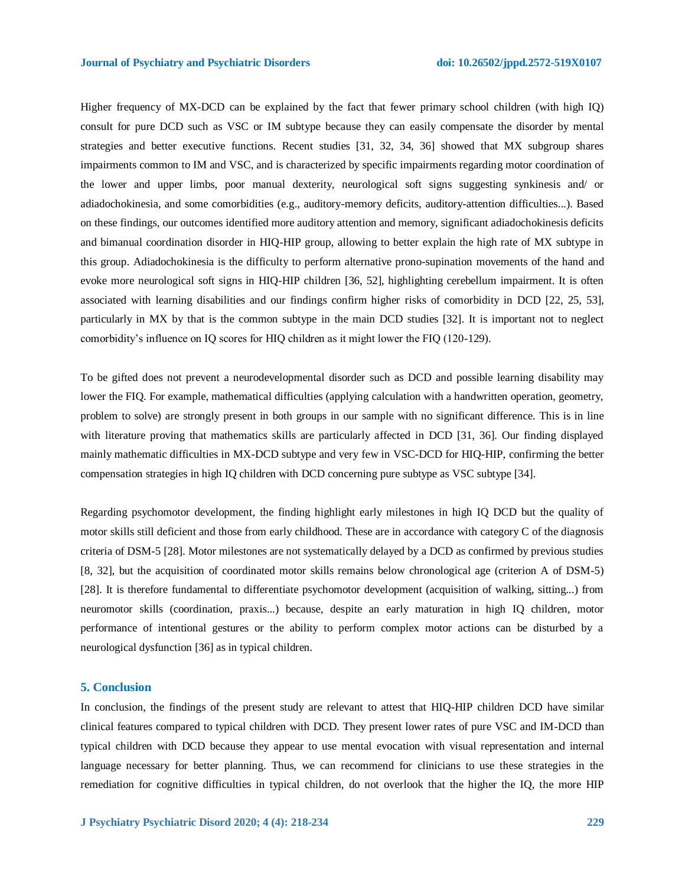Higher frequency of MX-DCD can be explained by the fact that fewer primary school children (with high IQ) consult for pure DCD such as VSC or IM subtype because they can easily compensate the disorder by mental strategies and better executive functions. Recent studies [31, 32, 34, 36] showed that MX subgroup shares impairments common to IM and VSC, and is characterized by specific impairments regarding motor coordination of the lower and upper limbs, poor manual dexterity, neurological soft signs suggesting synkinesis and/ or adiadochokinesia, and some comorbidities (e.g., auditory-memory deficits, auditory-attention difficulties...). Based on these findings, our outcomes identified more auditory attention and memory, significant adiadochokinesis deficits and bimanual coordination disorder in HIQ-HIP group, allowing to better explain the high rate of MX subtype in this group. Adiadochokinesia is the difficulty to perform alternative prono-supination movements of the hand and evoke more neurological soft signs in HIQ-HIP children [36, 52], highlighting cerebellum impairment. It is often associated with learning disabilities and our findings confirm higher risks of comorbidity in DCD [22, 25, 53], particularly in MX by that is the common subtype in the main DCD studies [32]. It is important not to neglect comorbidity's influence on IQ scores for HIQ children as it might lower the FIQ (120-129).

To be gifted does not prevent a neurodevelopmental disorder such as DCD and possible learning disability may lower the FIQ. For example, mathematical difficulties (applying calculation with a handwritten operation, geometry, problem to solve) are strongly present in both groups in our sample with no significant difference. This is in line with literature proving that mathematics skills are particularly affected in DCD [31, 36]. Our finding displayed mainly mathematic difficulties in MX-DCD subtype and very few in VSC-DCD for HIQ-HIP, confirming the better compensation strategies in high IQ children with DCD concerning pure subtype as VSC subtype [34].

Regarding psychomotor development, the finding highlight early milestones in high IQ DCD but the quality of motor skills still deficient and those from early childhood. These are in accordance with category C of the diagnosis criteria of DSM-5 [28]. Motor milestones are not systematically delayed by a DCD as confirmed by previous studies [8, 32], but the acquisition of coordinated motor skills remains below chronological age (criterion A of DSM-5) [28]. It is therefore fundamental to differentiate psychomotor development (acquisition of walking, sitting...) from neuromotor skills (coordination, praxis...) because, despite an early maturation in high IQ children, motor performance of intentional gestures or the ability to perform complex motor actions can be disturbed by a neurological dysfunction [36] as in typical children.

#### **5. Conclusion**

In conclusion, the findings of the present study are relevant to attest that HIQ-HIP children DCD have similar clinical features compared to typical children with DCD. They present lower rates of pure VSC and IM-DCD than typical children with DCD because they appear to use mental evocation with visual representation and internal language necessary for better planning. Thus, we can recommend for clinicians to use these strategies in the remediation for cognitive difficulties in typical children, do not overlook that the higher the IQ, the more HIP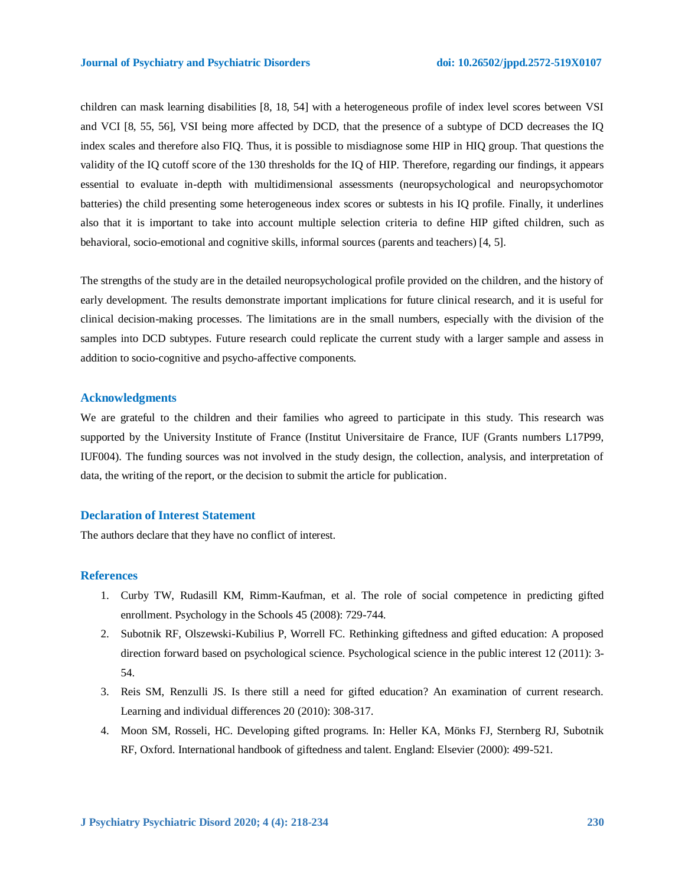children can mask learning disabilities [8, 18, 54] with a heterogeneous profile of index level scores between VSI and VCI [8, 55, 56], VSI being more affected by DCD, that the presence of a subtype of DCD decreases the IQ index scales and therefore also FIQ. Thus, it is possible to misdiagnose some HIP in HIQ group. That questions the validity of the IQ cutoff score of the 130 thresholds for the IQ of HIP. Therefore, regarding our findings, it appears essential to evaluate in-depth with multidimensional assessments (neuropsychological and neuropsychomotor batteries) the child presenting some heterogeneous index scores or subtests in his IQ profile. Finally, it underlines also that it is important to take into account multiple selection criteria to define HIP gifted children, such as behavioral, socio-emotional and cognitive skills, informal sources (parents and teachers) [4, 5].

The strengths of the study are in the detailed neuropsychological profile provided on the children, and the history of early development. The results demonstrate important implications for future clinical research, and it is useful for clinical decision-making processes. The limitations are in the small numbers, especially with the division of the samples into DCD subtypes. Future research could replicate the current study with a larger sample and assess in addition to socio-cognitive and psycho-affective components.

#### **Acknowledgments**

We are grateful to the children and their families who agreed to participate in this study. This research was supported by the University Institute of France (Institut Universitaire de France, IUF (Grants numbers L17P99, IUF004). The funding sources was not involved in the study design, the collection, analysis, and interpretation of data, the writing of the report, or the decision to submit the article for publication.

### **Declaration of Interest Statement**

The authors declare that they have no conflict of interest.

#### **References**

- 1. Curby TW, Rudasill KM, Rimm-Kaufman, et al. The role of social competence in predicting gifted enrollment. Psychology in the Schools 45 (2008): 729-744.
- 2. Subotnik RF, Olszewski-Kubilius P, Worrell FC. Rethinking giftedness and gifted education: A proposed direction forward based on psychological science. Psychological science in the public interest 12 (2011): 3- 54.
- 3. Reis SM, Renzulli JS. Is there still a need for gifted education? An examination of current research. Learning and individual differences 20 (2010): 308-317.
- 4. Moon SM, Rosseli, HC. Developing gifted programs. In: Heller KA, Mönks FJ, Sternberg RJ, Subotnik RF, Oxford. International handbook of giftedness and talent. England: Elsevier (2000): 499-521.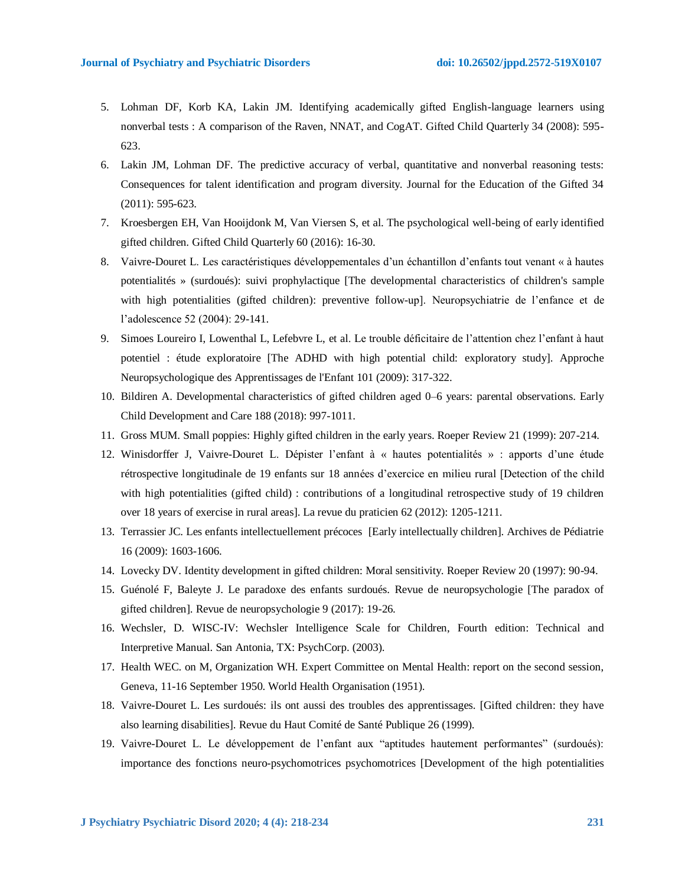- 5. Lohman DF, Korb KA, Lakin JM. Identifying academically gifted English-language learners using nonverbal tests : A comparison of the Raven, NNAT, and CogAT. Gifted Child Quarterly 34 (2008): 595- 623.
- 6. Lakin JM, Lohman DF. The predictive accuracy of verbal, quantitative and nonverbal reasoning tests: Consequences for talent identification and program diversity. Journal for the Education of the Gifted 34 (2011): 595-623.
- 7. Kroesbergen EH, Van Hooijdonk M, Van Viersen S, et al. The psychological well-being of early identified gifted children. Gifted Child Quarterly 60 (2016): 16-30.
- 8. Vaivre-Douret L. Les caractéristiques développementales d'un échantillon d'enfants tout venant « à hautes potentialités » (surdoués): suivi prophylactique [The developmental characteristics of children's sample with high potentialities (gifted children): preventive follow-up]. Neuropsychiatrie de l'enfance et de l'adolescence 52 (2004): 29-141.
- 9. Simoes Loureiro I, Lowenthal L, Lefebvre L, et al. Le trouble déficitaire de l'attention chez l'enfant à haut potentiel : étude exploratoire [The ADHD with high potential child: exploratory study]. Approche Neuropsychologique des Apprentissages de l'Enfant 101 (2009): 317-322.
- 10. Bildiren A. Developmental characteristics of gifted children aged 0–6 years: parental observations. Early Child Development and Care 188 (2018): 997-1011.
- 11. Gross MUM. Small poppies: Highly gifted children in the early years. Roeper Review 21 (1999): 207-214.
- 12. Winisdorffer J, Vaivre-Douret L. Dépister l'enfant à « hautes potentialités » : apports d'une étude rétrospective longitudinale de 19 enfants sur 18 années d'exercice en milieu rural [Detection of the child with high potentialities (gifted child) : contributions of a longitudinal retrospective study of 19 children over 18 years of exercise in rural areas]. La revue du praticien 62 (2012): 1205-1211.
- 13. Terrassier JC. Les enfants intellectuellement précoces [Early intellectually children]. Archives de Pédiatrie 16 (2009): 1603-1606.
- 14. Lovecky DV. Identity development in gifted children: Moral sensitivity. Roeper Review 20 (1997): 90-94.
- 15. Guénolé F, Baleyte J. Le paradoxe des enfants surdoués. Revue de neuropsychologie [The paradox of gifted children]. Revue de neuropsychologie 9 (2017): 19-26.
- 16. Wechsler, D. WISC-IV: Wechsler Intelligence Scale for Children, Fourth edition: Technical and Interpretive Manual. San Antonia, TX: PsychCorp. (2003).
- 17. Health WEC. on M, Organization WH. Expert Committee on Mental Health: report on the second session, Geneva, 11-16 September 1950. World Health Organisation (1951).
- 18. Vaivre-Douret L. Les surdoués: ils ont aussi des troubles des apprentissages. [Gifted children: they have also learning disabilities]. Revue du Haut Comité de Santé Publique 26 (1999).
- 19. Vaivre-Douret L. Le développement de l'enfant aux "aptitudes hautement performantes" (surdoués): importance des fonctions neuro-psychomotrices psychomotrices [Development of the high potentialities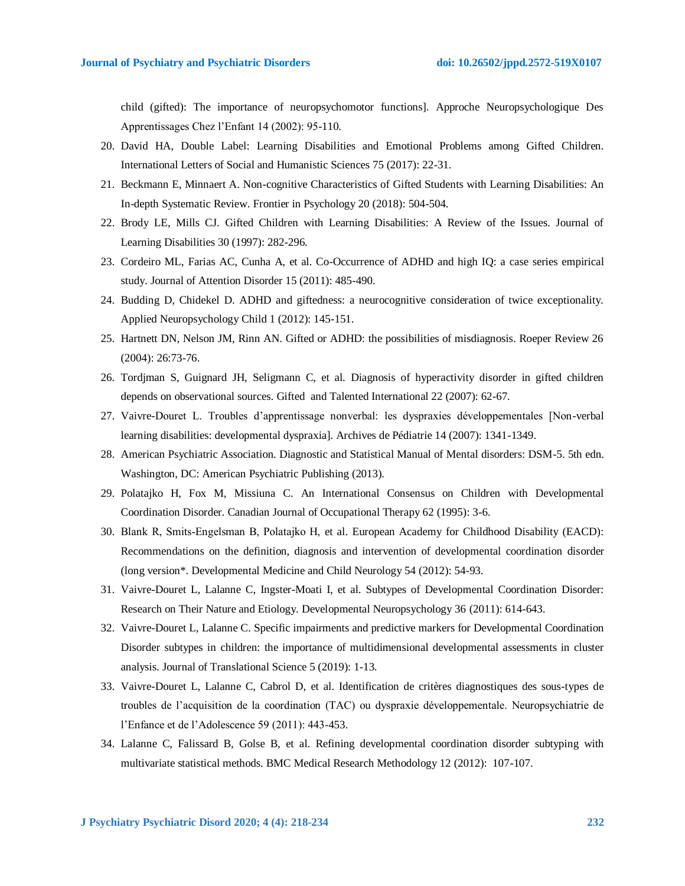child (gifted): The importance of neuropsychomotor functions]. Approche Neuropsychologique Des Apprentissages Chez l'Enfant 14 (2002): 95-110.

- 20. David HA, Double Label: Learning Disabilities and Emotional Problems among Gifted Children. International Letters of Social and Humanistic Sciences 75 (2017): 22-31.
- 21. Beckmann E, Minnaert A. Non-cognitive Characteristics of Gifted Students with Learning Disabilities: An In-depth Systematic Review. Frontier in Psychology 20 (2018): 504-504.
- 22. Brody LE, Mills CJ. Gifted Children with Learning Disabilities: A Review of the Issues. Journal of Learning Disabilities 30 (1997): 282-296.
- 23. Cordeiro ML, Farias AC, Cunha A, et al. Co-Occurrence of ADHD and high IQ: a case series empirical study. Journal of Attention Disorder 15 (2011): 485-490.
- 24. Budding D, Chidekel D. ADHD and giftedness: a neurocognitive consideration of twice exceptionality. Applied Neuropsychology Child 1 (2012): 145-151.
- 25. Hartnett DN, Nelson JM, Rinn AN. Gifted or ADHD: the possibilities of misdiagnosis. Roeper Review 26 (2004): 26:73-76.
- 26. Tordjman S, Guignard JH, Seligmann C, et al. Diagnosis of hyperactivity disorder in gifted children depends on observational sources. Gifted and Talented International 22 (2007): 62-67.
- 27. Vaivre-Douret L. Troubles d'apprentissage nonverbal: les dyspraxies développementales [Non-verbal learning disabilities: developmental dyspraxia]. Archives de Pédiatrie 14 (2007): 1341-1349.
- 28. American Psychiatric Association. Diagnostic and Statistical Manual of Mental disorders: DSM-5. 5th edn. Washington, DC: American Psychiatric Publishing (2013).
- 29. Polatajko H, Fox M, Missiuna C. An International Consensus on Children with Developmental Coordination Disorder. Canadian Journal of Occupational Therapy 62 (1995): 3-6.
- 30. Blank R, Smits‐Engelsman B, Polatajko H, et al. European Academy for Childhood Disability (EACD): Recommendations on the definition, diagnosis and intervention of developmental coordination disorder (long version\*. Developmental Medicine and Child Neurology 54 (2012): 54-93.
- 31. Vaivre-Douret L, Lalanne C, Ingster-Moati I, et al. Subtypes of Developmental Coordination Disorder: Research on Their Nature and Etiology. Developmental Neuropsychology 36 (2011): 614-643.
- 32. Vaivre-Douret L, Lalanne C. Specific impairments and predictive markers for Developmental Coordination Disorder subtypes in children: the importance of multidimensional developmental assessments in cluster analysis. Journal of Translational Science 5 (2019): 1-13.
- 33. Vaivre-Douret L, Lalanne C, Cabrol D, et al. Identification de critères diagnostiques des sous-types de troubles de l'acquisition de la coordination (TAC) ou dyspraxie développementale. Neuropsychiatrie de l'Enfance et de l'Adolescence 59 (2011): 443-453.
- 34. Lalanne C, Falissard B, Golse B, et al. Refining developmental coordination disorder subtyping with multivariate statistical methods. BMC Medical Research Methodology 12 (2012): 107-107.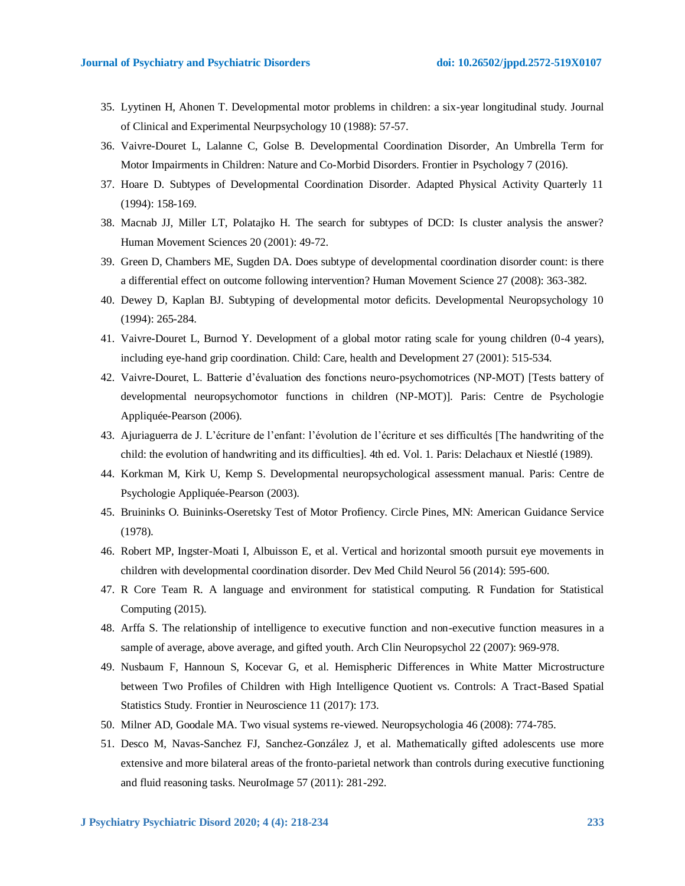- 35. Lyytinen H, Ahonen T. Developmental motor problems in children: a six-year longitudinal study. Journal of Clinical and Experimental Neurpsychology 10 (1988): 57-57.
- 36. Vaivre-Douret L, Lalanne C, Golse B. Developmental Coordination Disorder, An Umbrella Term for Motor Impairments in Children: Nature and Co-Morbid Disorders. Frontier in Psychology 7 (2016).
- 37. Hoare D. Subtypes of Developmental Coordination Disorder. Adapted Physical Activity Quarterly 11 (1994): 158-169.
- 38. Macnab JJ, Miller LT, Polatajko H. The search for subtypes of DCD: Is cluster analysis the answer? Human Movement Sciences 20 (2001): 49-72.
- 39. Green D, Chambers ME, Sugden DA. Does subtype of developmental coordination disorder count: is there a differential effect on outcome following intervention? Human Movement Science 27 (2008): 363-382.
- 40. Dewey D, Kaplan BJ. Subtyping of developmental motor deficits. Developmental Neuropsychology 10 (1994): 265-284.
- 41. Vaivre-Douret L, Burnod Y. Development of a global motor rating scale for young children (0-4 years), including eye-hand grip coordination. Child: Care, health and Development 27 (2001): 515-534.
- 42. Vaivre-Douret, L. Batterie d'évaluation des fonctions neuro-psychomotrices (NP-MOT) [Tests battery of developmental neuropsychomotor functions in children (NP-MOT)]. Paris: Centre de Psychologie Appliquée-Pearson (2006).
- 43. Ajuriaguerra de J. L'écriture de l'enfant: l'évolution de l'écriture et ses difficultés [The handwriting of the child: the evolution of handwriting and its difficulties]. 4th ed. Vol. 1. Paris: Delachaux et Niestlé (1989).
- 44. Korkman M, Kirk U, Kemp S. Developmental neuropsychological assessment manual. Paris: Centre de Psychologie Appliquée-Pearson (2003).
- 45. Bruininks O. Buininks-Oseretsky Test of Motor Profiency. Circle Pines, MN: American Guidance Service (1978).
- 46. Robert MP, Ingster-Moati I, Albuisson E, et al. Vertical and horizontal smooth pursuit eye movements in children with developmental coordination disorder. Dev Med Child Neurol 56 (2014): 595-600.
- 47. R Core Team R. A language and environment for statistical computing. R Fundation for Statistical Computing (2015).
- 48. Arffa S. The relationship of intelligence to executive function and non-executive function measures in a sample of average, above average, and gifted youth. Arch Clin Neuropsychol 22 (2007): 969-978.
- 49. Nusbaum F, Hannoun S, Kocevar G, et al. Hemispheric Differences in White Matter Microstructure between Two Profiles of Children with High Intelligence Quotient vs. Controls: A Tract-Based Spatial Statistics Study. Frontier in Neuroscience 11 (2017): 173.
- 50. Milner AD, Goodale MA. Two visual systems re-viewed. Neuropsychologia 46 (2008): 774-785.
- 51. Desco M, Navas-Sanchez FJ, Sanchez-González J, et al. Mathematically gifted adolescents use more extensive and more bilateral areas of the fronto-parietal network than controls during executive functioning and fluid reasoning tasks. NeuroImage 57 (2011): 281-292.